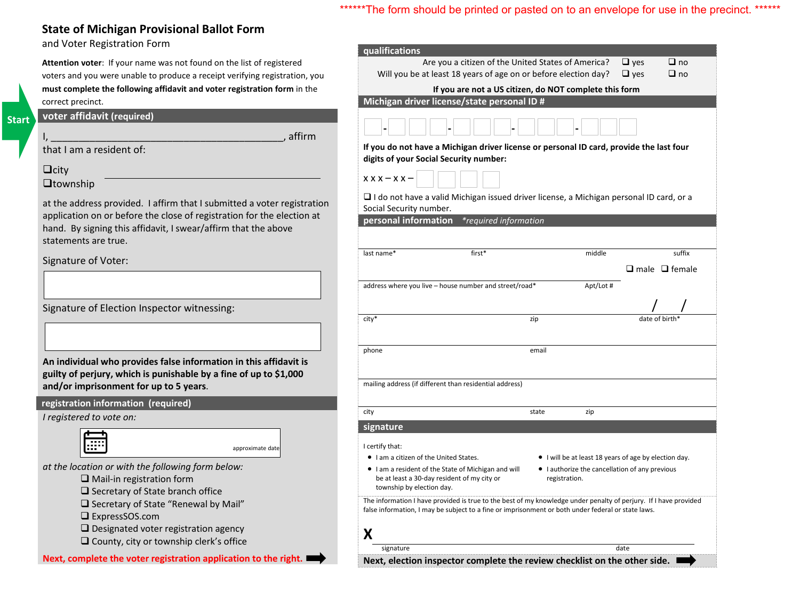#### \*\*\*\*\*\*The form should be printed or pasted on to an envelope for use in the precinct. \*\*\*\*\*\*

# **State of Michigan Provisional Ballot Form**

and Voter Registration Form

**Attention voter**: If your name was not found on the list of registered voters and you were unable to produce a receipt verifying registration, you **must complete the following affidavit and voter registration form** in the correct precinct.

**voter affidavit (required)**

I, \_\_\_\_\_\_\_\_\_\_\_\_\_\_\_\_\_\_\_\_\_\_\_\_\_\_\_\_\_\_\_\_\_\_\_\_\_\_\_\_\_\_, affirm

that I am a resident of:

 $\Box$ city

 $\Box$ township

at the address provided. I affirm that I submitted a voter registration application on or before the close of registration for the election at hand. By signing this affidavit, I swear/affirm that the above statements are true.

Signature of Voter:

Signature of Election Inspector witnessing:

**An individual who provides false information in this affidavit is guilty of perjury, which is punishable by a fine of up to \$1,000 and/or imprisonment for up to 5 years**.

#### **registration information (required)**

*I registered to vote on:*

approximate date

*at the location or with the following form below:*

- $\square$  Mail-in registration form
- $\square$  Secretary of State branch office
- $\square$  Secretary of State "Renewal by Mail"

ExpressSOS.com

- $\square$  Designated voter registration agency
- $\square$  County, city or township clerk's office

**Next, complete the voter registration application to the right.**

| qualifications                                                                                                                                                                                                         |                                                                 |           |            |                           |
|------------------------------------------------------------------------------------------------------------------------------------------------------------------------------------------------------------------------|-----------------------------------------------------------------|-----------|------------|---------------------------|
| Are you a citizen of the United States of America?                                                                                                                                                                     |                                                                 |           | $\Box$ yes | $\Box$ no                 |
| Will you be at least 18 years of age on or before election day?                                                                                                                                                        |                                                                 |           | $\Box$ yes | $\square$ no              |
|                                                                                                                                                                                                                        |                                                                 |           |            |                           |
| If you are not a US citizen, do NOT complete this form                                                                                                                                                                 |                                                                 |           |            |                           |
| Michigan driver license/state personal ID #                                                                                                                                                                            |                                                                 |           |            |                           |
|                                                                                                                                                                                                                        |                                                                 |           |            |                           |
| If you do not have a Michigan driver license or personal ID card, provide the last four<br>digits of your Social Security number:                                                                                      |                                                                 |           |            |                           |
| $x x - x x -$                                                                                                                                                                                                          |                                                                 |           |            |                           |
| $\Box$ I do not have a valid Michigan issued driver license, a Michigan personal ID card, or a                                                                                                                         |                                                                 |           |            |                           |
|                                                                                                                                                                                                                        |                                                                 |           |            |                           |
| Social Security number.                                                                                                                                                                                                |                                                                 |           |            |                           |
| personal information<br><i>*required information</i>                                                                                                                                                                   |                                                                 |           |            |                           |
| last name*<br>first*                                                                                                                                                                                                   |                                                                 | middle    |            | suffix                    |
|                                                                                                                                                                                                                        |                                                                 |           |            | $\Box$ male $\Box$ female |
|                                                                                                                                                                                                                        |                                                                 |           |            |                           |
| address where you live - house number and street/road*                                                                                                                                                                 |                                                                 | Apt/Lot # |            |                           |
|                                                                                                                                                                                                                        |                                                                 |           |            |                           |
|                                                                                                                                                                                                                        |                                                                 |           |            |                           |
| city*                                                                                                                                                                                                                  | zip                                                             |           |            |                           |
|                                                                                                                                                                                                                        |                                                                 |           |            |                           |
| phone                                                                                                                                                                                                                  | email                                                           |           |            |                           |
|                                                                                                                                                                                                                        |                                                                 |           |            |                           |
|                                                                                                                                                                                                                        |                                                                 |           |            |                           |
| mailing address (if different than residential address)                                                                                                                                                                |                                                                 |           |            |                           |
|                                                                                                                                                                                                                        |                                                                 |           |            |                           |
|                                                                                                                                                                                                                        |                                                                 |           |            |                           |
| city                                                                                                                                                                                                                   | state<br>zip                                                    |           |            |                           |
| signature                                                                                                                                                                                                              |                                                                 |           |            |                           |
|                                                                                                                                                                                                                        |                                                                 |           |            |                           |
| I certify that:                                                                                                                                                                                                        |                                                                 |           |            |                           |
| I am a citizen of the United States.                                                                                                                                                                                   | I will be at least 18 years of age by election day.             |           |            |                           |
| • I am a resident of the State of Michigan and will<br>be at least a 30-day resident of my city or<br>township by election day.                                                                                        | • I authorize the cancellation of any previous<br>registration. |           |            |                           |
| The information I have provided is true to the best of my knowledge under penalty of perjury. If I have provided<br>false information, I may be subject to a fine or imprisonment or both under federal or state laws. |                                                                 |           |            |                           |
|                                                                                                                                                                                                                        |                                                                 |           |            |                           |
| X                                                                                                                                                                                                                      |                                                                 |           |            |                           |
| signature                                                                                                                                                                                                              |                                                                 |           | date       |                           |
| Next, election inspector complete the review checklist on the other side.                                                                                                                                              |                                                                 |           |            |                           |
|                                                                                                                                                                                                                        |                                                                 |           |            |                           |